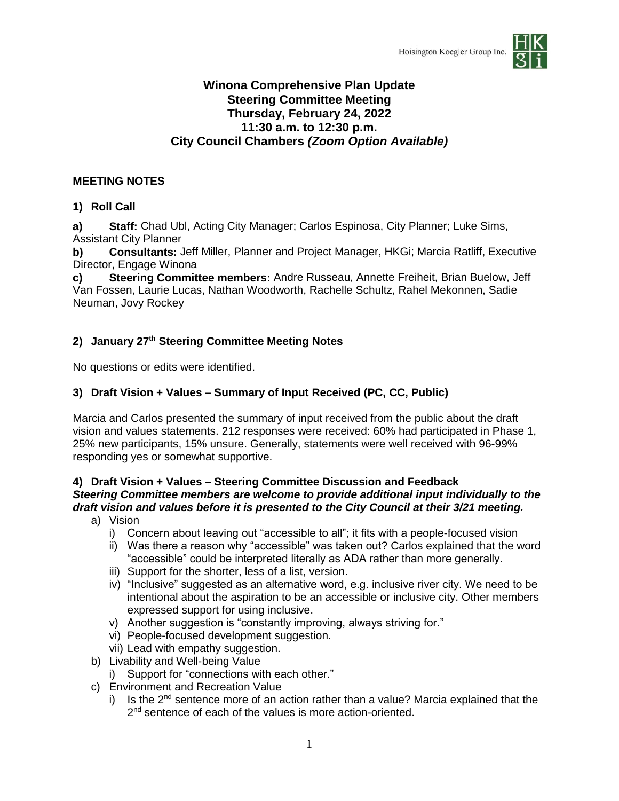

# **Winona Comprehensive Plan Update Steering Committee Meeting Thursday, February 24, 2022 11:30 a.m. to 12:30 p.m. City Council Chambers** *(Zoom Option Available)*

# **MEETING NOTES**

## **1) Roll Call**

**a) Staff:** Chad Ubl, Acting City Manager; Carlos Espinosa, City Planner; Luke Sims, Assistant City Planner

**b) Consultants:** Jeff Miller, Planner and Project Manager, HKGi; Marcia Ratliff, Executive Director, Engage Winona

**c) Steering Committee members:** Andre Russeau, Annette Freiheit, Brian Buelow, Jeff Van Fossen, Laurie Lucas, Nathan Woodworth, Rachelle Schultz, Rahel Mekonnen, Sadie Neuman, Jovy Rockey

# **2) January 27th Steering Committee Meeting Notes**

No questions or edits were identified.

### **3) Draft Vision + Values – Summary of Input Received (PC, CC, Public)**

Marcia and Carlos presented the summary of input received from the public about the draft vision and values statements. 212 responses were received: 60% had participated in Phase 1, 25% new participants, 15% unsure. Generally, statements were well received with 96-99% responding yes or somewhat supportive.

### **4) Draft Vision + Values – Steering Committee Discussion and Feedback** *Steering Committee members are welcome to provide additional input individually to the draft vision and values before it is presented to the City Council at their 3/21 meeting.*

- a) Vision
	- i) Concern about leaving out "accessible to all"; it fits with a people-focused vision
	- ii) Was there a reason why "accessible" was taken out? Carlos explained that the word "accessible" could be interpreted literally as ADA rather than more generally.
	- iii) Support for the shorter, less of a list, version.
	- iv) "Inclusive" suggested as an alternative word, e.g. inclusive river city. We need to be intentional about the aspiration to be an accessible or inclusive city. Other members expressed support for using inclusive.
	- v) Another suggestion is "constantly improving, always striving for."
	- vi) People-focused development suggestion.
	- vii) Lead with empathy suggestion.
- b) Livability and Well-being Value
	- i) Support for "connections with each other."
- c) Environment and Recreation Value
	- i) Is the  $2^{nd}$  sentence more of an action rather than a value? Marcia explained that the 2<sup>nd</sup> sentence of each of the values is more action-oriented.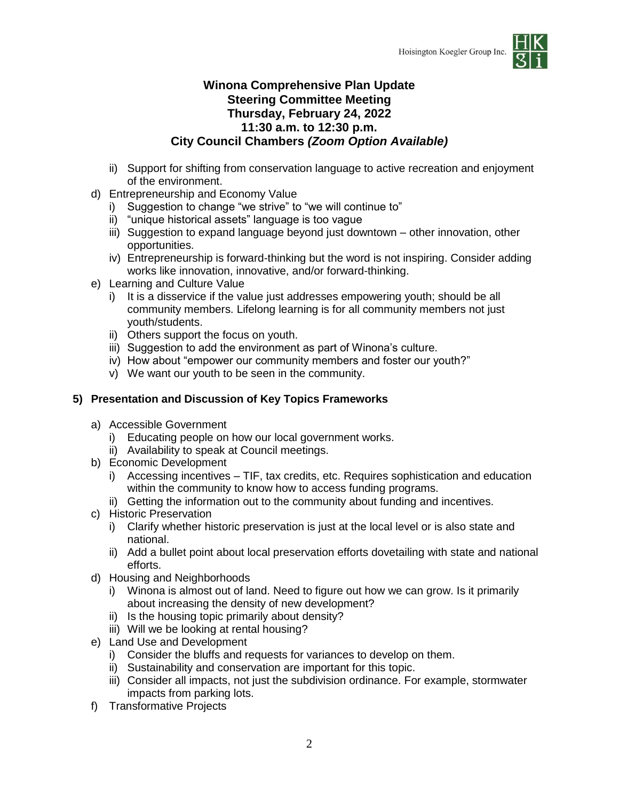

# **Winona Comprehensive Plan Update Steering Committee Meeting Thursday, February 24, 2022 11:30 a.m. to 12:30 p.m. City Council Chambers** *(Zoom Option Available)*

- ii) Support for shifting from conservation language to active recreation and enjoyment of the environment.
- d) Entrepreneurship and Economy Value
	- i) Suggestion to change "we strive" to "we will continue to"
	- ii) "unique historical assets" language is too vague
	- iii) Suggestion to expand language beyond just downtown other innovation, other opportunities.
	- iv) Entrepreneurship is forward-thinking but the word is not inspiring. Consider adding works like innovation, innovative, and/or forward-thinking.
- e) Learning and Culture Value
	- i) It is a disservice if the value just addresses empowering youth; should be all community members. Lifelong learning is for all community members not just youth/students.
	- ii) Others support the focus on youth.
	- iii) Suggestion to add the environment as part of Winona's culture.
	- iv) How about "empower our community members and foster our youth?"
	- v) We want our youth to be seen in the community.

# **5) Presentation and Discussion of Key Topics Frameworks**

- a) Accessible Government
	- i) Educating people on how our local government works.
	- ii) Availability to speak at Council meetings.
- b) Economic Development
	- i) Accessing incentives TIF, tax credits, etc. Requires sophistication and education within the community to know how to access funding programs.
	- ii) Getting the information out to the community about funding and incentives.
- c) Historic Preservation
	- i) Clarify whether historic preservation is just at the local level or is also state and national.
	- ii) Add a bullet point about local preservation efforts dovetailing with state and national efforts.
- d) Housing and Neighborhoods
	- i) Winona is almost out of land. Need to figure out how we can grow. Is it primarily about increasing the density of new development?
	- ii) Is the housing topic primarily about density?
	- iii) Will we be looking at rental housing?
- e) Land Use and Development
	- i) Consider the bluffs and requests for variances to develop on them.
	- ii) Sustainability and conservation are important for this topic.
	- iii) Consider all impacts, not just the subdivision ordinance. For example, stormwater impacts from parking lots.
- f) Transformative Projects